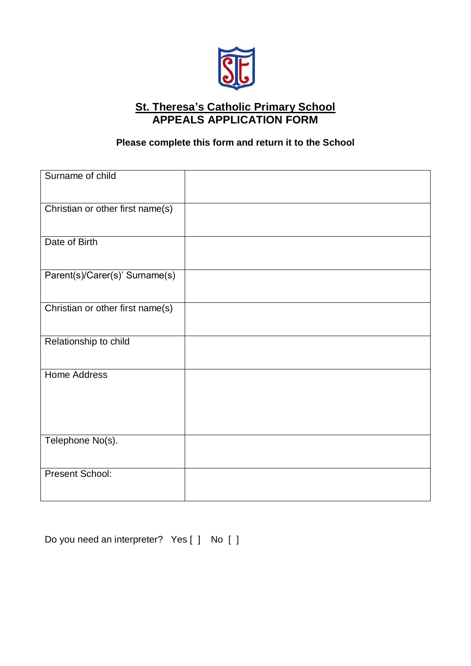

## **St. Theresa's Catholic Primary School APPEALS APPLICATION FORM**

## **Please complete this form and return it to the School**

| Surname of child                 |  |
|----------------------------------|--|
| Christian or other first name(s) |  |
| Date of Birth                    |  |
| Parent(s)/Carer(s)' Surname(s)   |  |
| Christian or other first name(s) |  |
| Relationship to child            |  |
| <b>Home Address</b>              |  |
| Telephone No(s).                 |  |
| <b>Present School:</b>           |  |

Do you need an interpreter? Yes [ ] No [ ]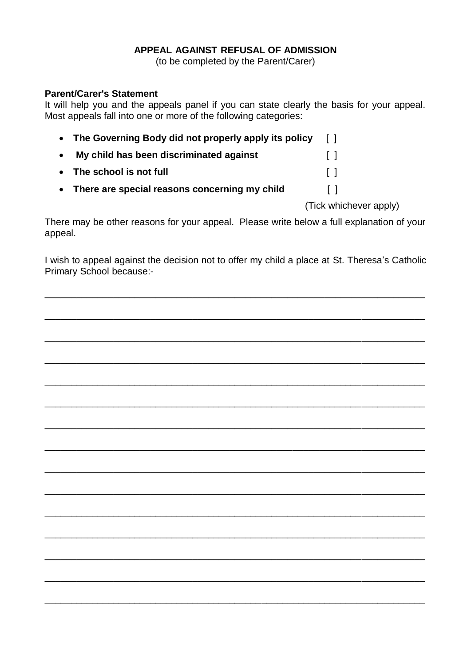## **APPEAL AGAINST REFUSAL OF ADMISSION**

(to be completed by the Parent/Carer)

## **Parent/Carer's Statement**

It will help you and the appeals panel if you can state clearly the basis for your appeal. Most appeals fall into one or more of the following categories:

| • The Governing Body did not properly apply its policy | $\Box$ |
|--------------------------------------------------------|--------|
| My child has been discriminated against                | $\Box$ |
| • The school is not full                               | $\Box$ |
| • There are special reasons concerning my child        | $\Box$ |

(Tick whichever apply)

There may be other reasons for your appeal. Please write below a full explanation of your appeal.

I wish to appeal against the decision not to offer my child a place at St. Theresa's Catholic Primary School because:-